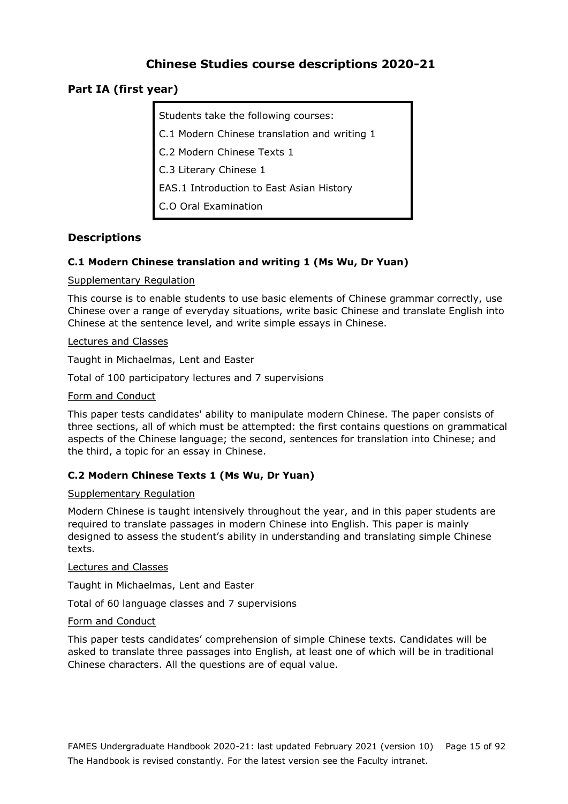# **Chinese Studies course descriptions 2020-21**

## **Part IA (first year)**

Students take the following courses: C.1 Modern Chinese translation and writing 1 C.2 Modern Chinese Texts 1 C.3 Literary Chinese 1 EAS.1 Introduction to East Asian History C.O Oral Examination

## **Descriptions**

## **C.1 Modern Chinese translation and writing 1 (Ms Wu, Dr Yuan)**

Supplementary Regulation

This course is to enable students to use basic elements of Chinese grammar correctly, use Chinese over a range of everyday situations, write basic Chinese and translate English into Chinese at the sentence level, and write simple essays in Chinese.

Lectures and Classes

Taught in Michaelmas, Lent and Easter

Total of 100 participatory lectures and 7 supervisions

#### Form and Conduct

This paper tests candidates' ability to manipulate modern Chinese. The paper consists of three sections, all of which must be attempted: the first contains questions on grammatical aspects of the Chinese language; the second, sentences for translation into Chinese; and the third, a topic for an essay in Chinese.

## **C.2 Modern Chinese Texts 1 (Ms Wu, Dr Yuan)**

#### Supplementary Regulation

Modern Chinese is taught intensively throughout the year, and in this paper students are required to translate passages in modern Chinese into English. This paper is mainly designed to assess the student's ability in understanding and translating simple Chinese texts.

#### Lectures and Classes

Taught in Michaelmas, Lent and Easter

Total of 60 language classes and 7 supervisions

#### Form and Conduct

This paper tests candidates' comprehension of simple Chinese texts. Candidates will be asked to translate three passages into English, at least one of which will be in traditional Chinese characters. All the questions are of equal value.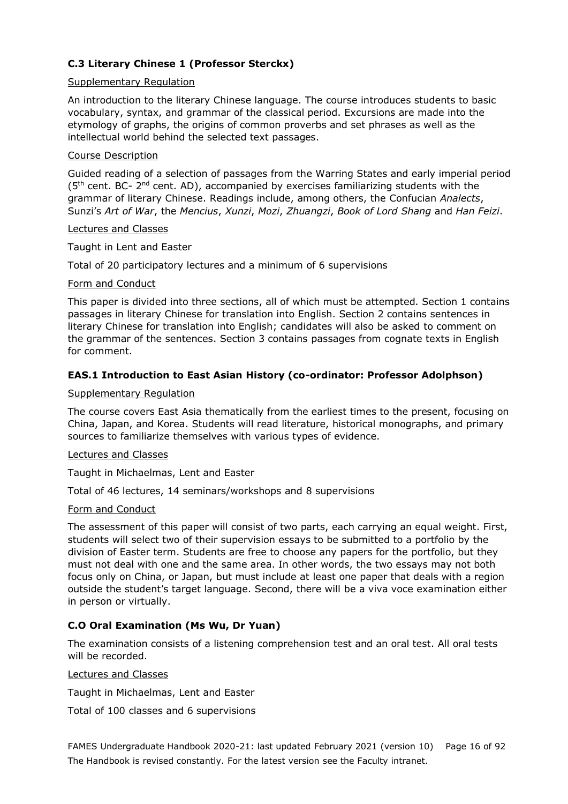## **C.3 Literary Chinese 1 (Professor Sterckx)**

#### Supplementary Regulation

An introduction to the literary Chinese language. The course introduces students to basic vocabulary, syntax, and grammar of the classical period. Excursions are made into the etymology of graphs, the origins of common proverbs and set phrases as well as the intellectual world behind the selected text passages.

### Course Description

Guided reading of a selection of passages from the Warring States and early imperial period  $(5<sup>th</sup>$  cent. BC-  $2<sup>nd</sup>$  cent. AD), accompanied by exercises familiarizing students with the grammar of literary Chinese. Readings include, among others, the Confucian *Analects*, Sunzi's *Art of War*, the *Mencius*, *Xunzi*, *Mozi*, *Zhuangzi*, *Book of Lord Shang* and *Han Feizi*.

#### Lectures and Classes

Taught in Lent and Easter

Total of 20 participatory lectures and a minimum of 6 supervisions

### Form and Conduct

This paper is divided into three sections, all of which must be attempted. Section 1 contains passages in literary Chinese for translation into English. Section 2 contains sentences in literary Chinese for translation into English; candidates will also be asked to comment on the grammar of the sentences. Section 3 contains passages from cognate texts in English for comment.

## **EAS.1 Introduction to East Asian History (co-ordinator: Professor Adolphson)**

### Supplementary Regulation

The course covers East Asia thematically from the earliest times to the present, focusing on China, Japan, and Korea. Students will read literature, historical monographs, and primary sources to familiarize themselves with various types of evidence.

#### Lectures and Classes

Taught in Michaelmas, Lent and Easter

Total of 46 lectures, 14 seminars/workshops and 8 supervisions

## Form and Conduct

The assessment of this paper will consist of two parts, each carrying an equal weight. First, students will select two of their supervision essays to be submitted to a portfolio by the division of Easter term. Students are free to choose any papers for the portfolio, but they must not deal with one and the same area. In other words, the two essays may not both focus only on China, or Japan, but must include at least one paper that deals with a region outside the student's target language. Second, there will be a viva voce examination either in person or virtually.

## **C.O Oral Examination (Ms Wu, Dr Yuan)**

The examination consists of a listening comprehension test and an oral test. All oral tests will be recorded.

## Lectures and Classes

Taught in Michaelmas, Lent and Easter

Total of 100 classes and 6 supervisions

FAMES Undergraduate Handbook 2020-21: last updated February 2021 (version 10) Page 16 of 92 The Handbook is revised constantly. For the latest version see the Faculty intranet.